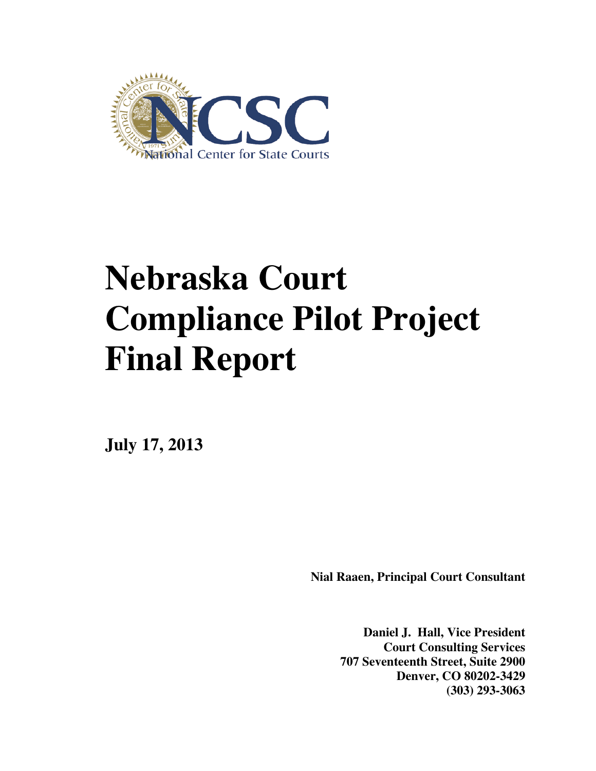

# **Nebraska Court Compliance Pilot Project Final Report**

**July 17, 2013** 

**Nial Raaen, Principal Court Consultant** 

**Daniel J. Hall, Vice President Court Consulting Services 707 Seventeenth Street, Suite 2900 Denver, CO 80202-3429 (303) 293-3063**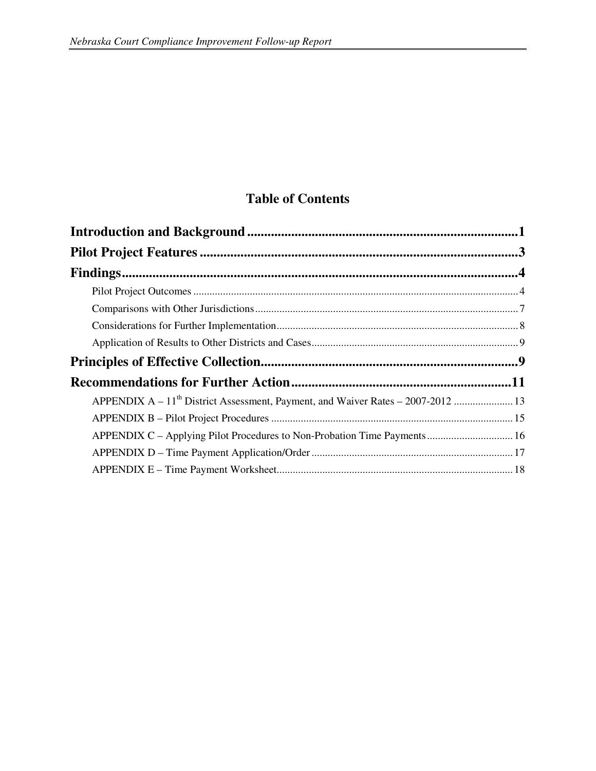# **Table of Contents**

| APPENDIX C - Applying Pilot Procedures to Non-Probation Time Payments 16 |
|--------------------------------------------------------------------------|
|                                                                          |
|                                                                          |
|                                                                          |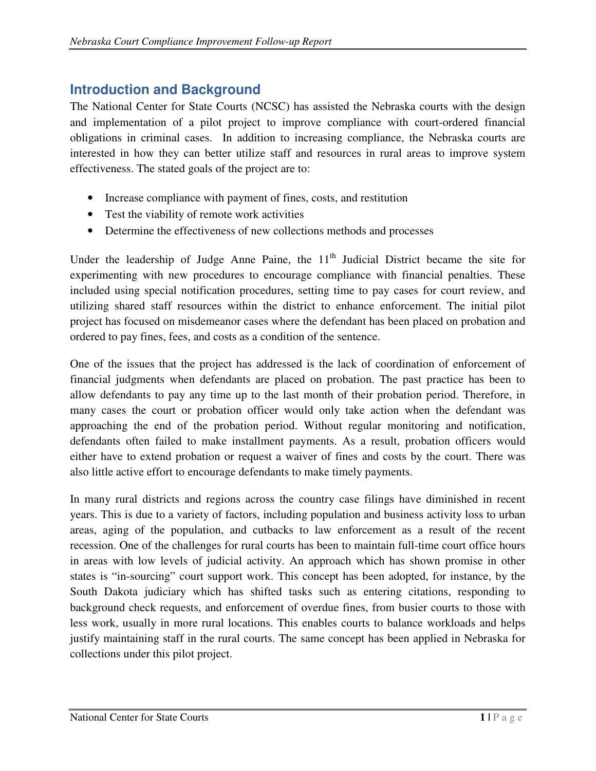# **Introduction and Background**

The National Center for State Courts (NCSC) has assisted the Nebraska courts with the design and implementation of a pilot project to improve compliance with court-ordered financial obligations in criminal cases. In addition to increasing compliance, the Nebraska courts are interested in how they can better utilize staff and resources in rural areas to improve system effectiveness. The stated goals of the project are to:

- Increase compliance with payment of fines, costs, and restitution
- Test the viability of remote work activities
- Determine the effectiveness of new collections methods and processes

Under the leadership of Judge Anne Paine, the  $11<sup>th</sup>$  Judicial District became the site for experimenting with new procedures to encourage compliance with financial penalties. These included using special notification procedures, setting time to pay cases for court review, and utilizing shared staff resources within the district to enhance enforcement. The initial pilot project has focused on misdemeanor cases where the defendant has been placed on probation and ordered to pay fines, fees, and costs as a condition of the sentence.

One of the issues that the project has addressed is the lack of coordination of enforcement of financial judgments when defendants are placed on probation. The past practice has been to allow defendants to pay any time up to the last month of their probation period. Therefore, in many cases the court or probation officer would only take action when the defendant was approaching the end of the probation period. Without regular monitoring and notification, defendants often failed to make installment payments. As a result, probation officers would either have to extend probation or request a waiver of fines and costs by the court. There was also little active effort to encourage defendants to make timely payments.

In many rural districts and regions across the country case filings have diminished in recent years. This is due to a variety of factors, including population and business activity loss to urban areas, aging of the population, and cutbacks to law enforcement as a result of the recent recession. One of the challenges for rural courts has been to maintain full-time court office hours in areas with low levels of judicial activity. An approach which has shown promise in other states is "in-sourcing" court support work. This concept has been adopted, for instance, by the South Dakota judiciary which has shifted tasks such as entering citations, responding to background check requests, and enforcement of overdue fines, from busier courts to those with less work, usually in more rural locations. This enables courts to balance workloads and helps justify maintaining staff in the rural courts. The same concept has been applied in Nebraska for collections under this pilot project.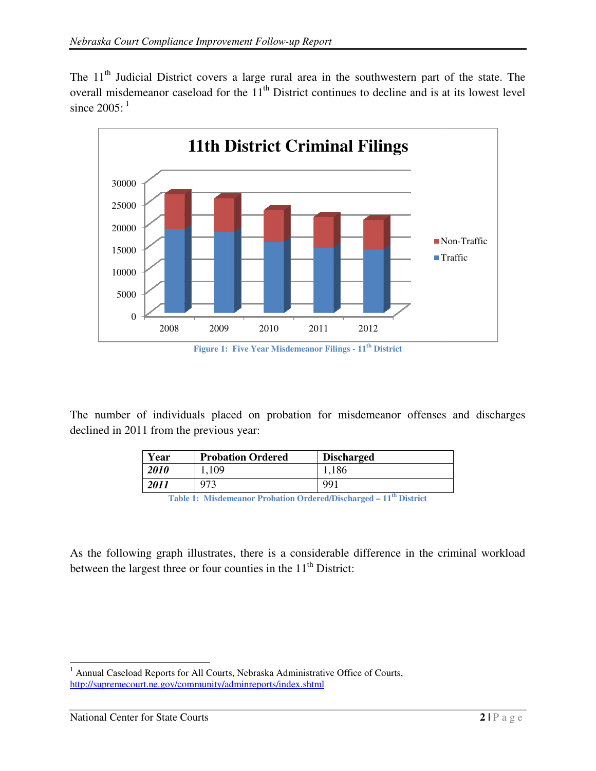The  $11<sup>th</sup>$  Judicial District covers a large rural area in the southwestern part of the state. The The  $11<sup>th</sup>$  Judicial District covers a large rural area in the southwestern part of the state. The overall misdemeanor caseload for the  $11<sup>th</sup>$  District continues to decline and is at its lowest level since  $2005$ :  $1$ 



The number of individuals placed on probation for misdemeanor offenses and discharges declined in 2011 from the previous year:

| Year | <b>Probation Ordered</b> | <b>Discharged</b> |
|------|--------------------------|-------------------|
| 2010 | 1,109                    | 1,186             |
| 2011 | 973                      | 991               |

**Table 1: Misdemeanor Probation : Misdemeanor Probation Ordered/Discharged – 11th District** 

As the following graph illustrates, there is a considerable difference in the criminal workload between the largest three or four counties in the  $11<sup>th</sup>$  District:

 $\overline{a}$ <sup>1</sup> Annual Caseload Reports for All Courts, Nebraska Administrative Office of Courts, <sup>1</sup> Annual Caseload Reports for All Courts, Nebraska Administratively http://supremecourt.ne.gov/community/adminreports/index.shtml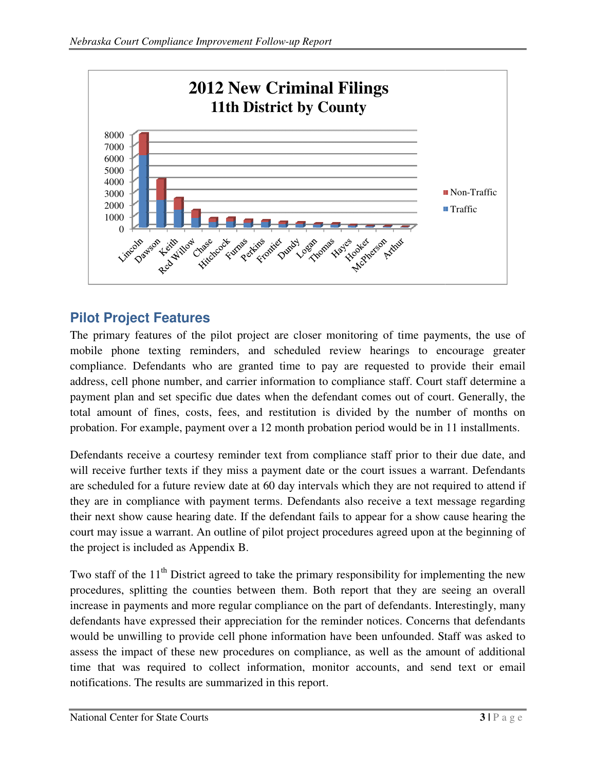

# **Pilot Project Features**

The primary features of the pilot project are closer monitoring of time payments, the use of mobile phone texting reminders, and scheduled review hearings to encourage greater compliance. Defendants who are granted time to pay are requested to provide their email compliance. Defendants who are granted time to pay are requested to provide their email address, cell phone number, and carrier information to compliance staff. Court staff determine a payment plan and set specific due dates when the defendant comes out of court. Generally, the total amount of fines, costs, fees, and restitution is divided by the number of months on total amount of fines, costs, fees, and restitution is divided by the number of months or probation. For example, payment over a 12 month probation period would be in 11 installments.

probation. For example, payment over a 12 month probation period would be in 11 installments.<br>Defendants receive a courtesy reminder text from compliance staff prior to their due date, and Defendants receive a courtesy reminder text from compliance staff prior to their due date, and will receive further texts if they miss a payment date or the court issues a warrant. Defendants will receive further texts if they miss a payment date or the court issues a warrant. Defendants are scheduled for a future review date at 60 day intervals which they are not required to attend if are scheduled for a future review date at 60 day intervals which they are not required to attend if<br>they are in compliance with payment terms. Defendants also receive a text message regarding their next show cause hearing date. If the defendant fails to appear for a show cause hearing the court may issue a warrant. An outline of pilot project procedures agreed upon at the beginning of the project is included as Appendix B. the project is included as Appendix B

Two staff of the  $11<sup>th</sup>$  District agreed to take the primary responsibility for implementing the new procedures, splitting the counties between them. Both report that they are seeing an overall increase in payments and more regular compliance on the part of defendants. Interestingly, many defendants have expressed their appreciation for the reminder notices. Concerns that defendants would be unwilling to provide cell phone information have been unfounded. Staff was asked to assess the impact of these new procedures on compliance, as well as the amount of additional assess the impact of these new procedures on compliance, as well as the amount of additional time that was required to collect information, monitor accounts, and send text or email notifications. The results are summarized in this report.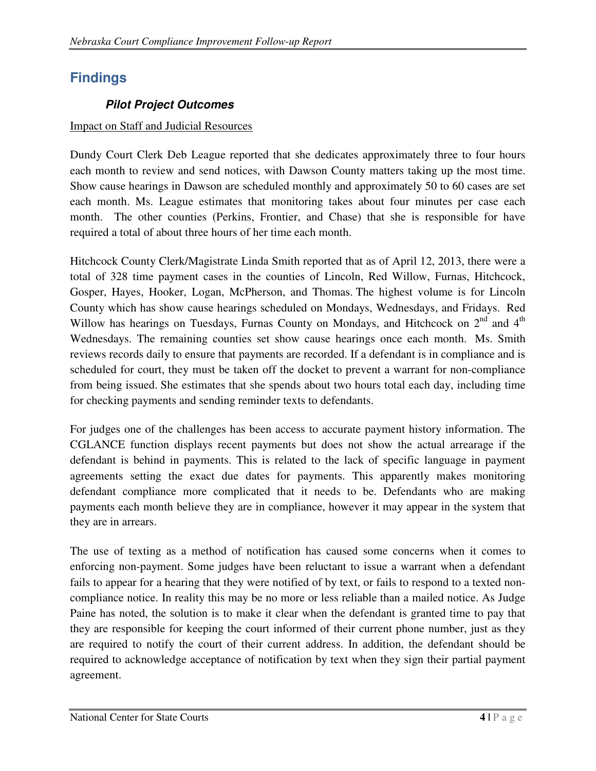# **Findings**

## **Pilot Project Outcomes**

#### Impact on Staff and Judicial Resources

Dundy Court Clerk Deb League reported that she dedicates approximately three to four hours each month to review and send notices, with Dawson County matters taking up the most time. Show cause hearings in Dawson are scheduled monthly and approximately 50 to 60 cases are set each month. Ms. League estimates that monitoring takes about four minutes per case each month. The other counties (Perkins, Frontier, and Chase) that she is responsible for have required a total of about three hours of her time each month.

Hitchcock County Clerk/Magistrate Linda Smith reported that as of April 12, 2013, there were a total of 328 time payment cases in the counties of Lincoln, Red Willow, Furnas, Hitchcock, Gosper, Hayes, Hooker, Logan, McPherson, and Thomas. The highest volume is for Lincoln County which has show cause hearings scheduled on Mondays, Wednesdays, and Fridays. Red Willow has hearings on Tuesdays, Furnas County on Mondays, and Hitchcock on 2<sup>nd</sup> and 4<sup>th</sup> Wednesdays. The remaining counties set show cause hearings once each month. Ms. Smith reviews records daily to ensure that payments are recorded. If a defendant is in compliance and is scheduled for court, they must be taken off the docket to prevent a warrant for non-compliance from being issued. She estimates that she spends about two hours total each day, including time for checking payments and sending reminder texts to defendants.

For judges one of the challenges has been access to accurate payment history information. The CGLANCE function displays recent payments but does not show the actual arrearage if the defendant is behind in payments. This is related to the lack of specific language in payment agreements setting the exact due dates for payments. This apparently makes monitoring defendant compliance more complicated that it needs to be. Defendants who are making payments each month believe they are in compliance, however it may appear in the system that they are in arrears.

The use of texting as a method of notification has caused some concerns when it comes to enforcing non-payment. Some judges have been reluctant to issue a warrant when a defendant fails to appear for a hearing that they were notified of by text, or fails to respond to a texted noncompliance notice. In reality this may be no more or less reliable than a mailed notice. As Judge Paine has noted, the solution is to make it clear when the defendant is granted time to pay that they are responsible for keeping the court informed of their current phone number, just as they are required to notify the court of their current address. In addition, the defendant should be required to acknowledge acceptance of notification by text when they sign their partial payment agreement.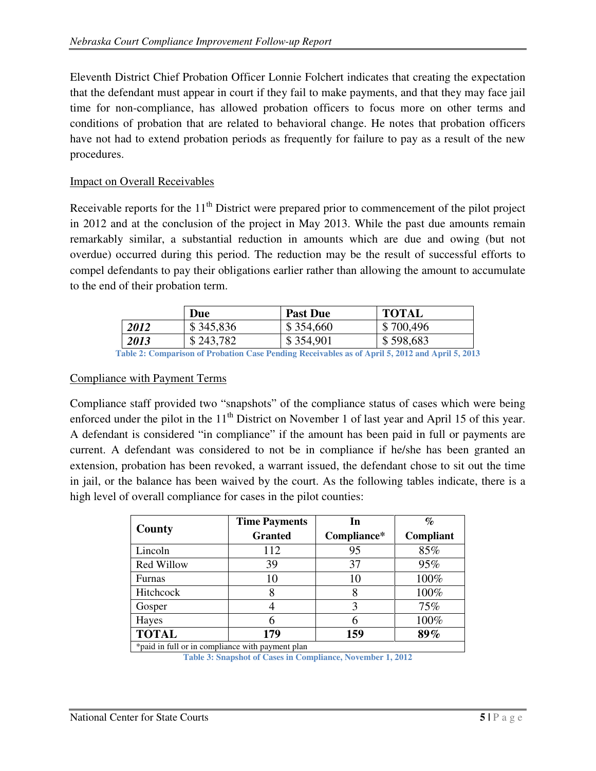Eleventh District Chief Probation Officer Lonnie Folchert indicates that creating the expectation that the defendant must appear in court if they fail to make payments, and that they may face jail time for non-compliance, has allowed probation officers to focus more on other terms and conditions of probation that are related to behavioral change. He notes that probation officers have not had to extend probation periods as frequently for failure to pay as a result of the new procedures.

#### Impact on Overall Receivables

Receivable reports for the  $11<sup>th</sup>$  District were prepared prior to commencement of the pilot project in 2012 and at the conclusion of the project in May 2013. While the past due amounts remain remarkably similar, a substantial reduction in amounts which are due and owing (but not overdue) occurred during this period. The reduction may be the result of successful efforts to compel defendants to pay their obligations earlier rather than allowing the amount to accumulate to the end of their probation term.

|      | Due       | <b>Past Due</b>                                                                                                                                                                                                                                                                                                                                                                                      | <b>TOTAL</b> |
|------|-----------|------------------------------------------------------------------------------------------------------------------------------------------------------------------------------------------------------------------------------------------------------------------------------------------------------------------------------------------------------------------------------------------------------|--------------|
| 2012 | \$345,836 | \$354,660                                                                                                                                                                                                                                                                                                                                                                                            | \$700,496    |
| 2013 | \$243,782 | \$354,901                                                                                                                                                                                                                                                                                                                                                                                            | \$598,683    |
|      |           | $\mathbf{p}_1, \mathbf{p}_2, \mathbf{q}_3, \mathbf{q}_4, \mathbf{q}_5, \mathbf{q}_6, \mathbf{q}_7, \mathbf{q}_8, \mathbf{q}_7, \mathbf{q}_8, \mathbf{q}_9, \mathbf{q}_9, \mathbf{q}_9, \mathbf{q}_9, \mathbf{q}_1, \mathbf{q}_2, \mathbf{q}_3, \mathbf{q}_4, \mathbf{q}_5, \mathbf{q}_7, \mathbf{q}_8, \mathbf{q}_7, \mathbf{q}_8, \mathbf{q}_9, \mathbf{q}_9, \mathbf{q}_9, \mathbf{q}_9, \mathbf{$ |              |

**Table 2: Comparison of Probation Case Pending Receivables as of April 5, 2012 and April 5, 2013**

#### Compliance with Payment Terms

Compliance staff provided two "snapshots" of the compliance status of cases which were being enforced under the pilot in the  $11<sup>th</sup>$  District on November 1 of last year and April 15 of this year. A defendant is considered "in compliance" if the amount has been paid in full or payments are current. A defendant was considered to not be in compliance if he/she has been granted an extension, probation has been revoked, a warrant issued, the defendant chose to sit out the time in jail, or the balance has been waived by the court. As the following tables indicate, there is a high level of overall compliance for cases in the pilot counties:

|                                                  | <b>Time Payments</b> | In          | $\%$      |  |
|--------------------------------------------------|----------------------|-------------|-----------|--|
| County                                           | <b>Granted</b>       | Compliance* | Compliant |  |
| Lincoln                                          | 112                  | 95          | 85%       |  |
| Red Willow                                       | 39                   | 37          | 95%       |  |
| Furnas                                           | 10                   | 10          | 100%      |  |
| Hitchcock                                        |                      | 8           | 100%      |  |
| Gosper                                           |                      |             | 75%       |  |
| Hayes                                            |                      | 6           | 100%      |  |
| <b>TOTAL</b>                                     | 179                  | 159         | 89%       |  |
| *paid in full or in compliance with payment plan |                      |             |           |  |

**Table 3: Snapshot of Cases in Compliance, November 1, 2012**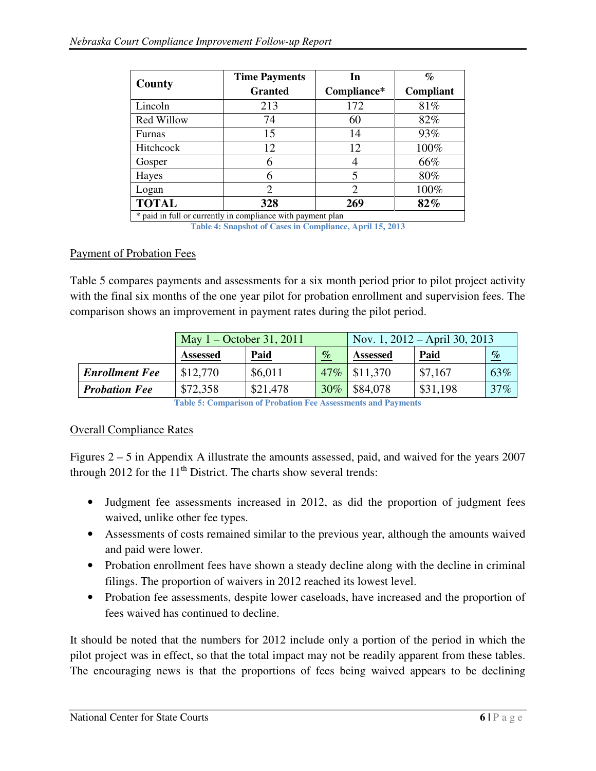|              | <b>Time Payments</b> | In          | $\%$      |
|--------------|----------------------|-------------|-----------|
| County       | <b>Granted</b>       | Compliance* | Compliant |
| Lincoln      | 213                  | 172         | 81%       |
| Red Willow   | 74                   | 60          | 82%       |
| Furnas       | 15                   | 14          | 93%       |
| Hitchcock    | 12                   | 12          | 100%      |
| Gosper       |                      |             | 66%       |
| Hayes        |                      | 5           | 80%       |
| Logan        |                      | 2           | 100%      |
| <b>TOTAL</b> | 328                  | 269         | 82%       |

\* paid in full or currently in compliance with payment plan **Table 4: Snapshot of Cases in Compliance, April 15, 2013**

#### Payment of Probation Fees

Table 5 compares payments and assessments for a six month period prior to pilot project activity with the final six months of the one year pilot for probation enrollment and supervision fees. The comparison shows an improvement in payment rates during the pilot period.

|                       | May $1 -$ October 31, 2011 |             | Nov. 1, $2012 - April 30, 2013$ |                  |             |      |
|-----------------------|----------------------------|-------------|---------------------------------|------------------|-------------|------|
|                       | <b>Assessed</b>            | <b>Paid</b> | $\%$                            | <b>Assessed</b>  | <b>Paid</b> | $\%$ |
| <b>Enrollment Fee</b> | \$12,770                   | \$6,011     | $47\%$                          | $\vert$ \$11,370 | \$7,167     | 63%  |
| <b>Probation Fee</b>  | \$72,358                   | \$21,478    | $30\%$                          | \$84,078         | \$31,198    | 37%  |

**Table 5: Comparison of Probation Fee Assessments and Payments**

#### Overall Compliance Rates

Figures 2 – 5 in Appendix A illustrate the amounts assessed, paid, and waived for the years 2007 through 2012 for the  $11<sup>th</sup>$  District. The charts show several trends:

- Judgment fee assessments increased in 2012, as did the proportion of judgment fees waived, unlike other fee types.
- Assessments of costs remained similar to the previous year, although the amounts waived and paid were lower.
- Probation enrollment fees have shown a steady decline along with the decline in criminal filings. The proportion of waivers in 2012 reached its lowest level.
- Probation fee assessments, despite lower caseloads, have increased and the proportion of fees waived has continued to decline.

It should be noted that the numbers for 2012 include only a portion of the period in which the pilot project was in effect, so that the total impact may not be readily apparent from these tables. The encouraging news is that the proportions of fees being waived appears to be declining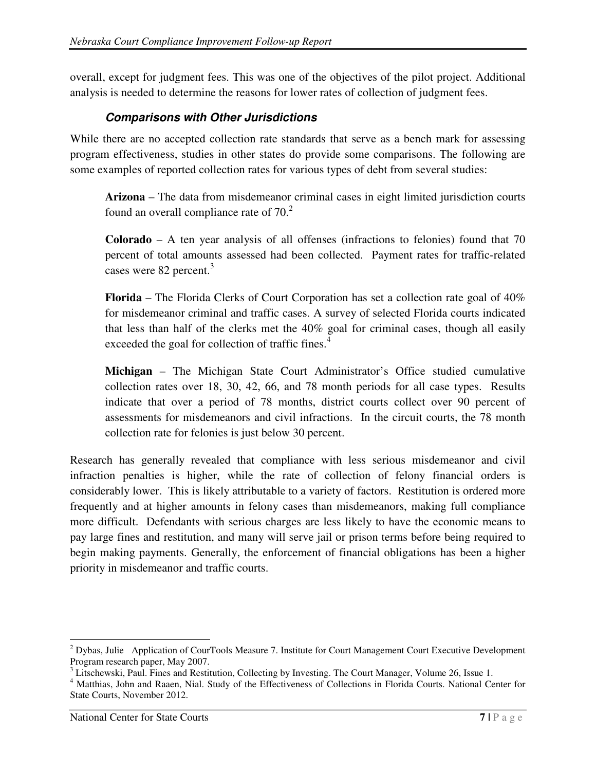overall, except for judgment fees. This was one of the objectives of the pilot project. Additional analysis is needed to determine the reasons for lower rates of collection of judgment fees.

## **Comparisons with Other Jurisdictions**

While there are no accepted collection rate standards that serve as a bench mark for assessing program effectiveness, studies in other states do provide some comparisons. The following are some examples of reported collection rates for various types of debt from several studies:

**Arizona** – The data from misdemeanor criminal cases in eight limited jurisdiction courts found an overall compliance rate of  $70<sup>2</sup>$ 

**Colorado** – A ten year analysis of all offenses (infractions to felonies) found that 70 percent of total amounts assessed had been collected. Payment rates for traffic-related cases were 82 percent.<sup>3</sup>

**Florida** – The Florida Clerks of Court Corporation has set a collection rate goal of 40% for misdemeanor criminal and traffic cases. A survey of selected Florida courts indicated that less than half of the clerks met the 40% goal for criminal cases, though all easily exceeded the goal for collection of traffic fines.<sup>4</sup>

**Michigan** – The Michigan State Court Administrator's Office studied cumulative collection rates over 18, 30, 42, 66, and 78 month periods for all case types. Results indicate that over a period of 78 months, district courts collect over 90 percent of assessments for misdemeanors and civil infractions. In the circuit courts, the 78 month collection rate for felonies is just below 30 percent.

Research has generally revealed that compliance with less serious misdemeanor and civil infraction penalties is higher, while the rate of collection of felony financial orders is considerably lower. This is likely attributable to a variety of factors. Restitution is ordered more frequently and at higher amounts in felony cases than misdemeanors, making full compliance more difficult. Defendants with serious charges are less likely to have the economic means to pay large fines and restitution, and many will serve jail or prison terms before being required to begin making payments. Generally, the enforcement of financial obligations has been a higher priority in misdemeanor and traffic courts.

 $\ddot{ }$  $2$  Dybas, Julie Application of CourTools Measure 7. Institute for Court Management Court Executive Development Program research paper, May 2007.

<sup>&</sup>lt;sup>3</sup> Litschewski, Paul. Fines and Restitution, Collecting by Investing. The Court Manager, Volume 26, Issue 1.

<sup>&</sup>lt;sup>4</sup> Matthias, John and Raaen, Nial. Study of the Effectiveness of Collections in Florida Courts. National Center for State Courts, November 2012.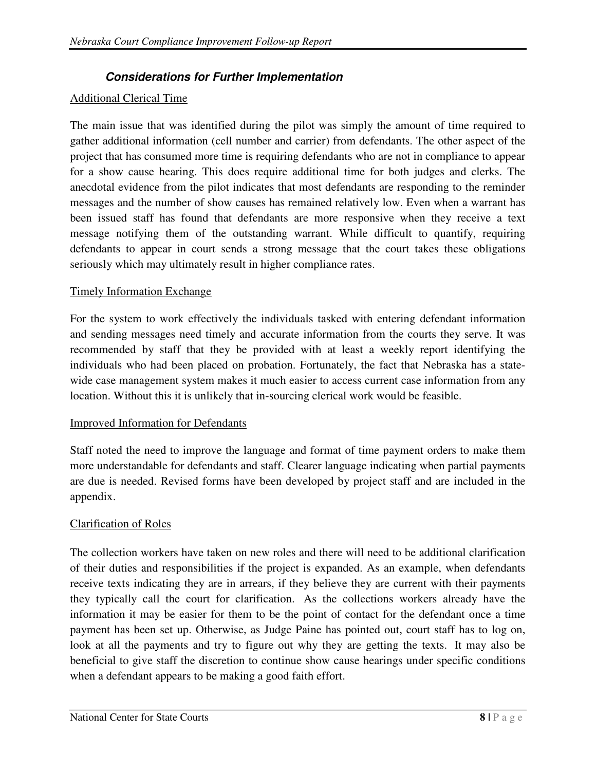## **Considerations for Further Implementation**

## Additional Clerical Time

The main issue that was identified during the pilot was simply the amount of time required to gather additional information (cell number and carrier) from defendants. The other aspect of the project that has consumed more time is requiring defendants who are not in compliance to appear for a show cause hearing. This does require additional time for both judges and clerks. The anecdotal evidence from the pilot indicates that most defendants are responding to the reminder messages and the number of show causes has remained relatively low. Even when a warrant has been issued staff has found that defendants are more responsive when they receive a text message notifying them of the outstanding warrant. While difficult to quantify, requiring defendants to appear in court sends a strong message that the court takes these obligations seriously which may ultimately result in higher compliance rates.

## Timely Information Exchange

For the system to work effectively the individuals tasked with entering defendant information and sending messages need timely and accurate information from the courts they serve. It was recommended by staff that they be provided with at least a weekly report identifying the individuals who had been placed on probation. Fortunately, the fact that Nebraska has a statewide case management system makes it much easier to access current case information from any location. Without this it is unlikely that in-sourcing clerical work would be feasible.

#### Improved Information for Defendants

Staff noted the need to improve the language and format of time payment orders to make them more understandable for defendants and staff. Clearer language indicating when partial payments are due is needed. Revised forms have been developed by project staff and are included in the appendix.

## Clarification of Roles

The collection workers have taken on new roles and there will need to be additional clarification of their duties and responsibilities if the project is expanded. As an example, when defendants receive texts indicating they are in arrears, if they believe they are current with their payments they typically call the court for clarification. As the collections workers already have the information it may be easier for them to be the point of contact for the defendant once a time payment has been set up. Otherwise, as Judge Paine has pointed out, court staff has to log on, look at all the payments and try to figure out why they are getting the texts. It may also be beneficial to give staff the discretion to continue show cause hearings under specific conditions when a defendant appears to be making a good faith effort.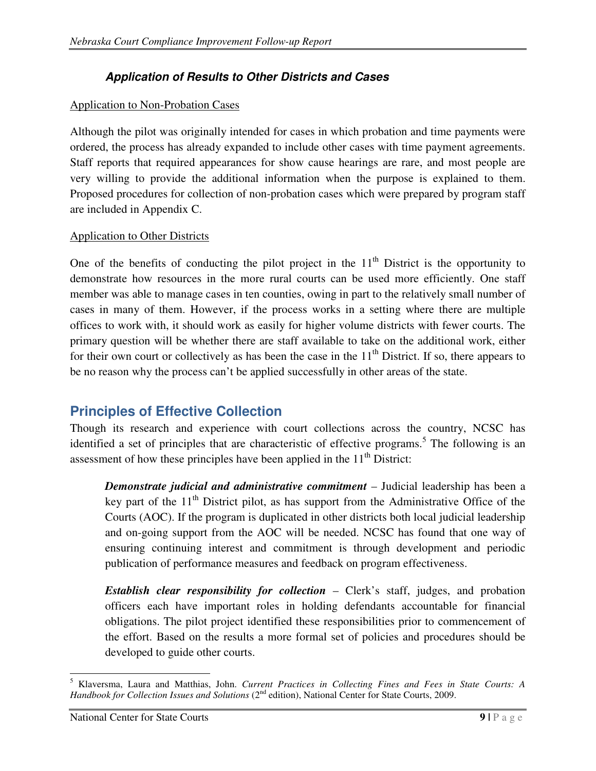## **Application of Results to Other Districts and Cases**

#### Application to Non-Probation Cases

Although the pilot was originally intended for cases in which probation and time payments were ordered, the process has already expanded to include other cases with time payment agreements. Staff reports that required appearances for show cause hearings are rare, and most people are very willing to provide the additional information when the purpose is explained to them. Proposed procedures for collection of non-probation cases which were prepared by program staff are included in Appendix C.

#### Application to Other Districts

One of the benefits of conducting the pilot project in the  $11<sup>th</sup>$  District is the opportunity to demonstrate how resources in the more rural courts can be used more efficiently. One staff member was able to manage cases in ten counties, owing in part to the relatively small number of cases in many of them. However, if the process works in a setting where there are multiple offices to work with, it should work as easily for higher volume districts with fewer courts. The primary question will be whether there are staff available to take on the additional work, either for their own court or collectively as has been the case in the  $11<sup>th</sup>$  District. If so, there appears to be no reason why the process can't be applied successfully in other areas of the state.

## **Principles of Effective Collection**

Though its research and experience with court collections across the country, NCSC has identified a set of principles that are characteristic of effective programs.<sup>5</sup> The following is an assessment of how these principles have been applied in the  $11<sup>th</sup>$  District:

*Demonstrate judicial and administrative commitment* – Judicial leadership has been a key part of the  $11<sup>th</sup>$  District pilot, as has support from the Administrative Office of the Courts (AOC). If the program is duplicated in other districts both local judicial leadership and on-going support from the AOC will be needed. NCSC has found that one way of ensuring continuing interest and commitment is through development and periodic publication of performance measures and feedback on program effectiveness.

*Establish clear responsibility for collection* – Clerk's staff, judges, and probation officers each have important roles in holding defendants accountable for financial obligations. The pilot project identified these responsibilities prior to commencement of the effort. Based on the results a more formal set of policies and procedures should be developed to guide other courts.

 5 Klaversma, Laura and Matthias, John. *Current Practices in Collecting Fines and Fees in State Courts: A Handbook for Collection Issues and Solutions* (2<sup>nd</sup> edition), National Center for State Courts, 2009.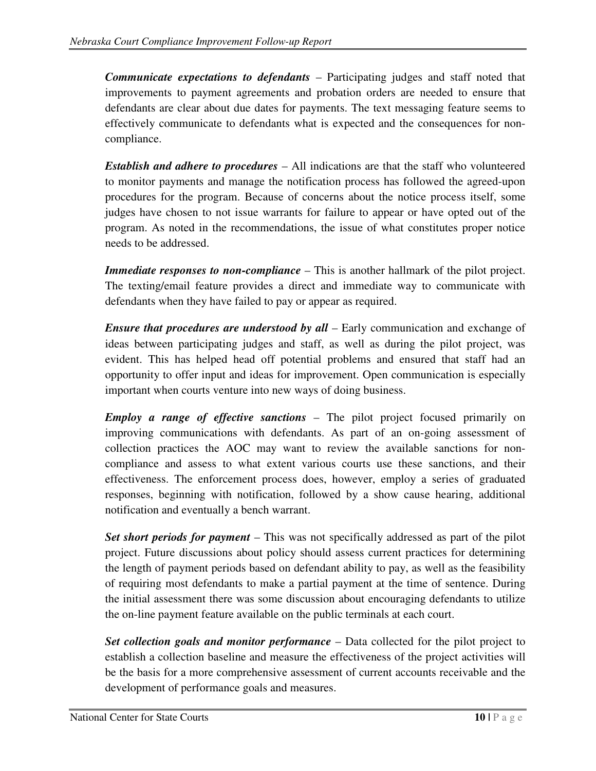*Communicate expectations to defendants* – Participating judges and staff noted that improvements to payment agreements and probation orders are needed to ensure that defendants are clear about due dates for payments. The text messaging feature seems to effectively communicate to defendants what is expected and the consequences for noncompliance.

*Establish and adhere to procedures* – All indications are that the staff who volunteered to monitor payments and manage the notification process has followed the agreed-upon procedures for the program. Because of concerns about the notice process itself, some judges have chosen to not issue warrants for failure to appear or have opted out of the program. As noted in the recommendations, the issue of what constitutes proper notice needs to be addressed.

*Immediate responses to non-compliance* – This is another hallmark of the pilot project. The texting/email feature provides a direct and immediate way to communicate with defendants when they have failed to pay or appear as required.

*Ensure that procedures are understood by all* – Early communication and exchange of ideas between participating judges and staff, as well as during the pilot project, was evident. This has helped head off potential problems and ensured that staff had an opportunity to offer input and ideas for improvement. Open communication is especially important when courts venture into new ways of doing business.

*Employ a range of effective sanctions* – The pilot project focused primarily on improving communications with defendants. As part of an on-going assessment of collection practices the AOC may want to review the available sanctions for noncompliance and assess to what extent various courts use these sanctions, and their effectiveness. The enforcement process does, however, employ a series of graduated responses, beginning with notification, followed by a show cause hearing, additional notification and eventually a bench warrant.

*Set short periods for payment* – This was not specifically addressed as part of the pilot project. Future discussions about policy should assess current practices for determining the length of payment periods based on defendant ability to pay, as well as the feasibility of requiring most defendants to make a partial payment at the time of sentence. During the initial assessment there was some discussion about encouraging defendants to utilize the on-line payment feature available on the public terminals at each court.

*Set collection goals and monitor performance* – Data collected for the pilot project to establish a collection baseline and measure the effectiveness of the project activities will be the basis for a more comprehensive assessment of current accounts receivable and the development of performance goals and measures.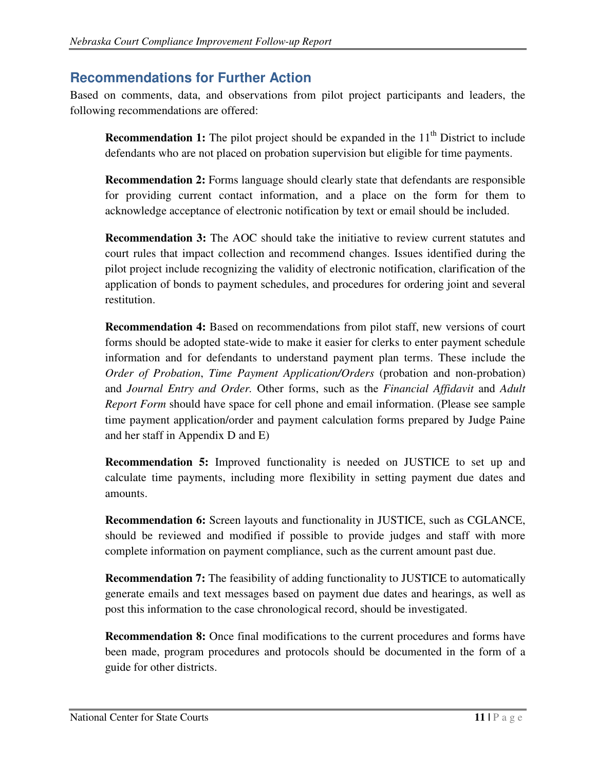## **Recommendations for Further Action**

Based on comments, data, and observations from pilot project participants and leaders, the following recommendations are offered:

**Recommendation 1:** The pilot project should be expanded in the 11<sup>th</sup> District to include defendants who are not placed on probation supervision but eligible for time payments.

**Recommendation 2:** Forms language should clearly state that defendants are responsible for providing current contact information, and a place on the form for them to acknowledge acceptance of electronic notification by text or email should be included.

**Recommendation 3:** The AOC should take the initiative to review current statutes and court rules that impact collection and recommend changes. Issues identified during the pilot project include recognizing the validity of electronic notification, clarification of the application of bonds to payment schedules, and procedures for ordering joint and several restitution.

**Recommendation 4:** Based on recommendations from pilot staff, new versions of court forms should be adopted state-wide to make it easier for clerks to enter payment schedule information and for defendants to understand payment plan terms. These include the *Order of Probation*, *Time Payment Application/Orders* (probation and non-probation) and *Journal Entry and Order.* Other forms, such as the *Financial Affidavit* and *Adult Report Form* should have space for cell phone and email information. (Please see sample time payment application/order and payment calculation forms prepared by Judge Paine and her staff in Appendix D and E)

**Recommendation 5:** Improved functionality is needed on JUSTICE to set up and calculate time payments, including more flexibility in setting payment due dates and amounts.

**Recommendation 6:** Screen layouts and functionality in JUSTICE, such as CGLANCE, should be reviewed and modified if possible to provide judges and staff with more complete information on payment compliance, such as the current amount past due.

**Recommendation 7:** The feasibility of adding functionality to JUSTICE to automatically generate emails and text messages based on payment due dates and hearings, as well as post this information to the case chronological record, should be investigated.

**Recommendation 8:** Once final modifications to the current procedures and forms have been made, program procedures and protocols should be documented in the form of a guide for other districts.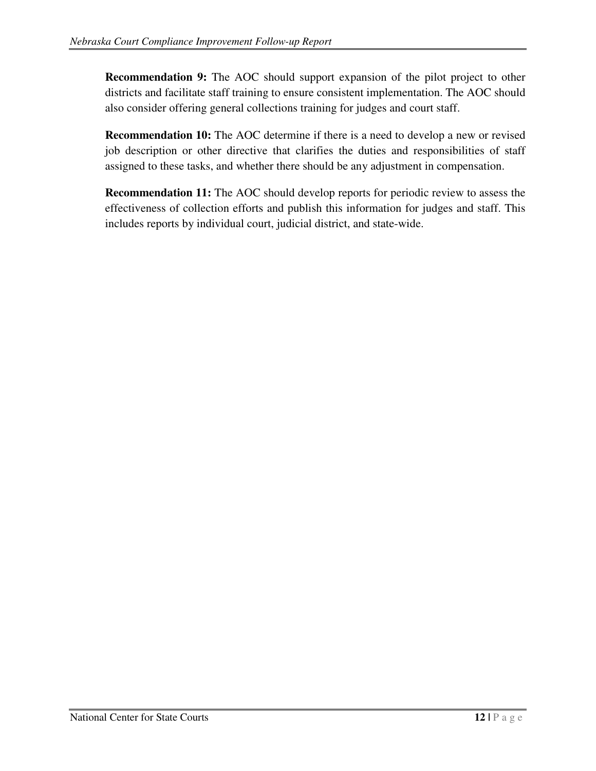**Recommendation 9:** The AOC should support expansion of the pilot project to other districts and facilitate staff training to ensure consistent implementation. The AOC should also consider offering general collections training for judges and court staff.

**Recommendation 10:** The AOC determine if there is a need to develop a new or revised job description or other directive that clarifies the duties and responsibilities of staff assigned to these tasks, and whether there should be any adjustment in compensation.

**Recommendation 11:** The AOC should develop reports for periodic review to assess the effectiveness of collection efforts and publish this information for judges and staff. This includes reports by individual court, judicial district, and state-wide.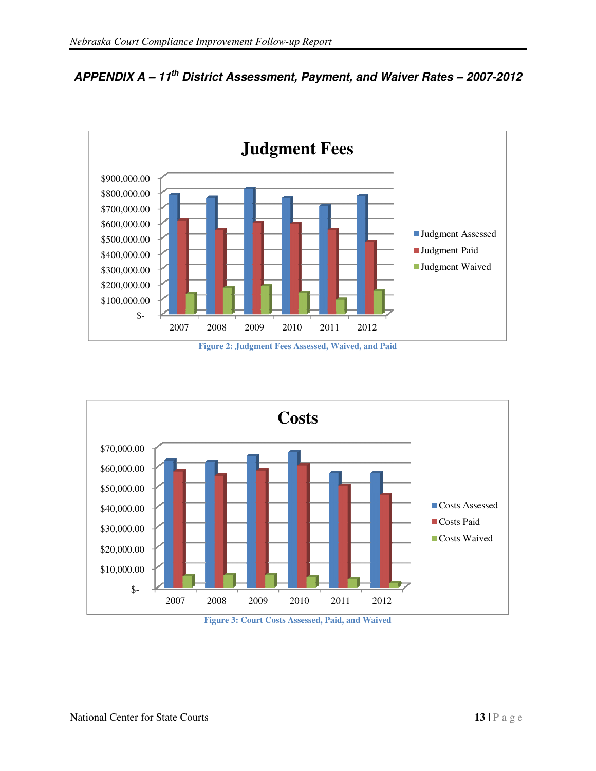

APPENDIX A - 11<sup>th</sup> District Assessment, Payment, and Waiver Rates - 2007-2012

**Figure 2: Judgment Fees Assessed, Waived, and Paid** 



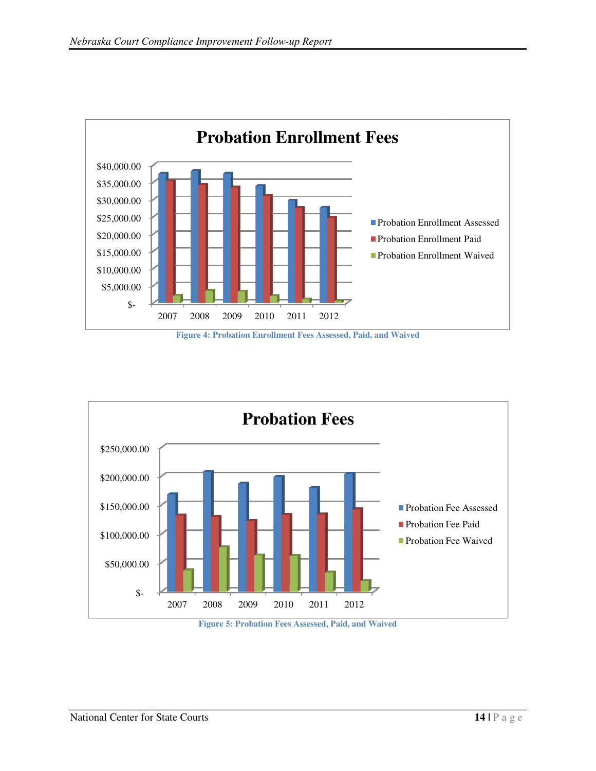

**Figure 4: Probation Enrollment Fees Assessed, Paid, and Waived** 



**Figure 5: Probation Fees Assessed, Paid, and Waived**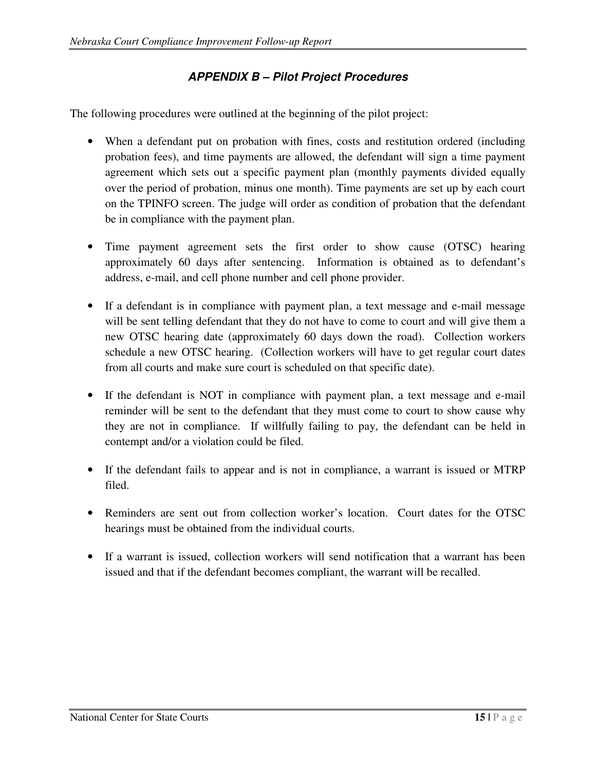## **APPENDIX B – Pilot Project Procedures**

The following procedures were outlined at the beginning of the pilot project:

- When a defendant put on probation with fines, costs and restitution ordered (including probation fees), and time payments are allowed, the defendant will sign a time payment agreement which sets out a specific payment plan (monthly payments divided equally over the period of probation, minus one month). Time payments are set up by each court on the TPINFO screen. The judge will order as condition of probation that the defendant be in compliance with the payment plan.
- Time payment agreement sets the first order to show cause (OTSC) hearing approximately 60 days after sentencing. Information is obtained as to defendant's address, e-mail, and cell phone number and cell phone provider.
- If a defendant is in compliance with payment plan, a text message and e-mail message will be sent telling defendant that they do not have to come to court and will give them a new OTSC hearing date (approximately 60 days down the road). Collection workers schedule a new OTSC hearing. (Collection workers will have to get regular court dates from all courts and make sure court is scheduled on that specific date).
- If the defendant is NOT in compliance with payment plan, a text message and e-mail reminder will be sent to the defendant that they must come to court to show cause why they are not in compliance. If willfully failing to pay, the defendant can be held in contempt and/or a violation could be filed.
- If the defendant fails to appear and is not in compliance, a warrant is issued or MTRP filed.
- Reminders are sent out from collection worker's location. Court dates for the OTSC hearings must be obtained from the individual courts.
- If a warrant is issued, collection workers will send notification that a warrant has been issued and that if the defendant becomes compliant, the warrant will be recalled.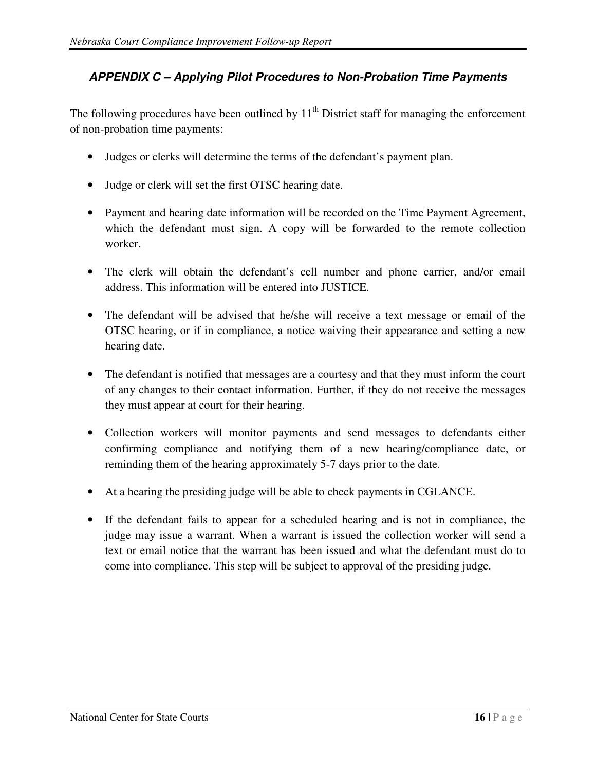## **APPENDIX C – Applying Pilot Procedures to Non-Probation Time Payments**

The following procedures have been outlined by  $11<sup>th</sup>$  District staff for managing the enforcement of non-probation time payments:

- Judges or clerks will determine the terms of the defendant's payment plan.
- Judge or clerk will set the first OTSC hearing date.
- Payment and hearing date information will be recorded on the Time Payment Agreement, which the defendant must sign. A copy will be forwarded to the remote collection worker.
- The clerk will obtain the defendant's cell number and phone carrier, and/or email address. This information will be entered into JUSTICE.
- The defendant will be advised that he/she will receive a text message or email of the OTSC hearing, or if in compliance, a notice waiving their appearance and setting a new hearing date.
- The defendant is notified that messages are a courtesy and that they must inform the court of any changes to their contact information. Further, if they do not receive the messages they must appear at court for their hearing.
- Collection workers will monitor payments and send messages to defendants either confirming compliance and notifying them of a new hearing/compliance date, or reminding them of the hearing approximately 5-7 days prior to the date.
- At a hearing the presiding judge will be able to check payments in CGLANCE.
- If the defendant fails to appear for a scheduled hearing and is not in compliance, the judge may issue a warrant. When a warrant is issued the collection worker will send a text or email notice that the warrant has been issued and what the defendant must do to come into compliance. This step will be subject to approval of the presiding judge.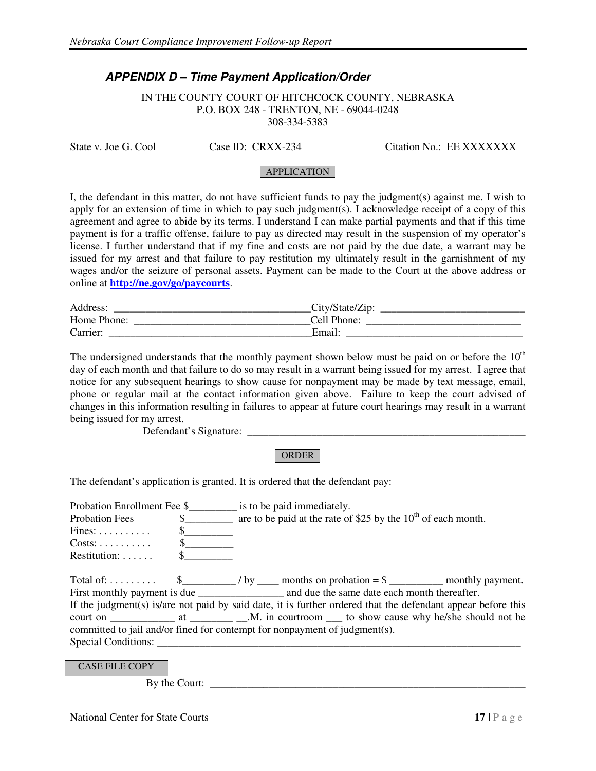#### **APPENDIX D – Time Payment Application/Order**

IN THE COUNTY COURT OF HITCHCOCK COUNTY, NEBRASKA P.O. BOX 248 - TRENTON, NE - 69044-0248 308-334-5383

State v. Joe G. Cool Case ID: CRXX-234 Citation No.: EE XXXXXXX

#### APPLICATION

I, the defendant in this matter, do not have sufficient funds to pay the judgment(s) against me. I wish to apply for an extension of time in which to pay such judgment(s). I acknowledge receipt of a copy of this agreement and agree to abide by its terms. I understand I can make partial payments and that if this time payment is for a traffic offense, failure to pay as directed may result in the suspension of my operator's license. I further understand that if my fine and costs are not paid by the due date, a warrant may be issued for my arrest and that failure to pay restitution my ultimately result in the garnishment of my wages and/or the seizure of personal assets. Payment can be made to the Court at the above address or online at **http://ne.gov/go/paycourts**.

| Address:    | City/State/Zip: |
|-------------|-----------------|
| Home Phone: | Cell Phone:     |
| Carrier:    | Email           |

The undersigned understands that the monthly payment shown below must be paid on or before the  $10<sup>th</sup>$ day of each month and that failure to do so may result in a warrant being issued for my arrest. I agree that notice for any subsequent hearings to show cause for nonpayment may be made by text message, email, phone or regular mail at the contact information given above. Failure to keep the court advised of changes in this information resulting in failures to appear at future court hearings may result in a warrant being issued for my arrest.

Defendant's Signature:

#### ORDER

The defendant's application is granted. It is ordered that the defendant pay:

| <b>Probation Fees</b>         |              | $\frac{1}{2}$ are to be paid at the rate of \$25 by the 10 <sup>th</sup> of each month.                      |  |  |
|-------------------------------|--------------|--------------------------------------------------------------------------------------------------------------|--|--|
| $Fines: \ldots \ldots \ldots$ |              |                                                                                                              |  |  |
|                               |              |                                                                                                              |  |  |
| $Restrution: \ldots$ .        | $\mathbb{S}$ |                                                                                                              |  |  |
|                               |              | Total of: $\frac{1}{2}$ = $\frac{1}{2}$ by _____ months on probation = \$ __________ monthly payment.        |  |  |
|                               |              |                                                                                                              |  |  |
|                               |              | If the judgment(s) is/are not paid by said date, it is further ordered that the defendant appear before this |  |  |
|                               |              |                                                                                                              |  |  |
|                               |              | committed to jail and/or fined for contempt for nonpayment of judgment(s).                                   |  |  |
| Special Conditions:           |              |                                                                                                              |  |  |

CASE FILE COPY

By the Court: